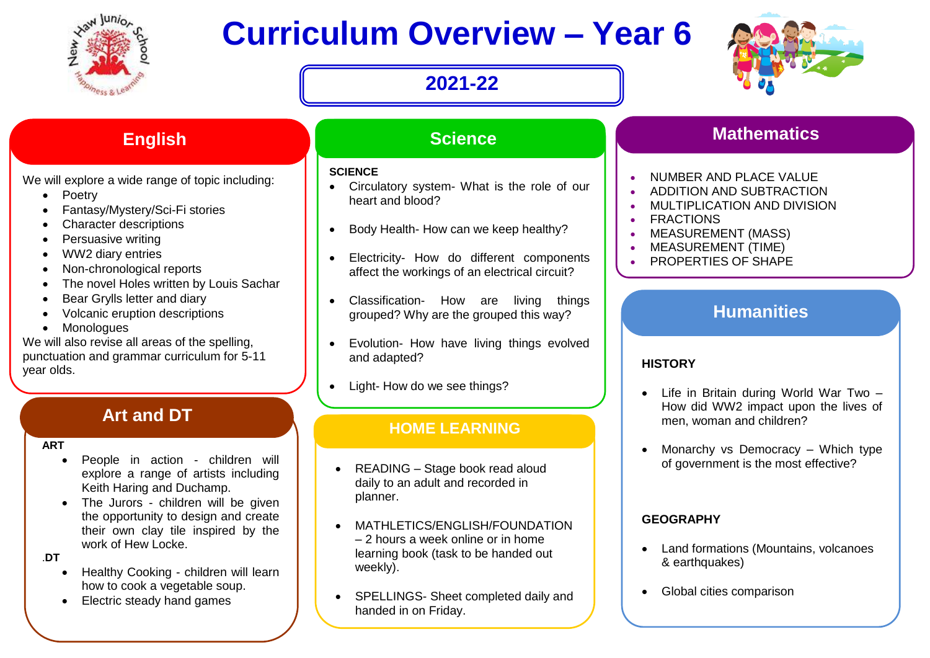

# **Curriculum Overview – Year 6**

# **2021-22**



We will explore a wide range of topic including:

- Poetry
- Fantasy/Mystery/Sci-Fi stories
- Character descriptions
- Persuasive writing
- WW2 diary entries
- Non-chronological reports
- The novel Holes written by Louis Sachar
- Bear Grylls letter and diary
- Volcanic eruption descriptions
- Monologues

We will also revise all areas of the spelling, punctuation and grammar curriculum for 5-11 year olds.

#### **participate in debates and DT** develop their spoken language.

They will also be given the opportunity to the opportunity to the opportunity to

#### **ART**

- People in action children will explore a range of artists including Keith Haring and Duchamp.
- The Jurors children will be given the opportunity to design and create their own clay tile inspired by the work of Hew Locke.
- .**DT**
	- Healthy Cooking children will learn how to cook a vegetable soup.
	- Electric steady hand games

# **English Science All Science**

#### **SCIENCE**

- Circulatory system- What is the role of our heart and blood?
- Body Health- How can we keep healthy?
- Electricity- How do different components affect the workings of an electrical circuit?
- Classification- How are living things grouped? Why are the grouped this way?
- Evolution- How have living things evolved and adapted?
- Light- How do we see things?

## **HOME LEARNING**

- READING Stage book read aloud daily to an adult and recorded in planner.
- MATHLETICS/ENGLISH/FOUNDATION – 2 hours a week online or in home learning book (task to be handed out weekly).
- SPELLINGS- Sheet completed daily and handed in on Friday.

# **Mathematics**

- NUMBER AND PLACE VALUE
- **ADDITION AND SUBTRACTION**
- **MULTIPLICATION AND DIVISION**
- FRACTIONS
- MEASUREMENT (MASS)
- MEASUREMENT (TIME)
- PROPERTIES OF SHAPE

# **Humanities**

### **HISTORY**

- Life in Britain during World War Two How did WW2 impact upon the lives of men, woman and children?
- Monarchy vs Democracy Which type of government is the most effective?

### **GEOGRAPHY**

- Land formations (Mountains, volcanoes & earthquakes)
- Global cities comparison